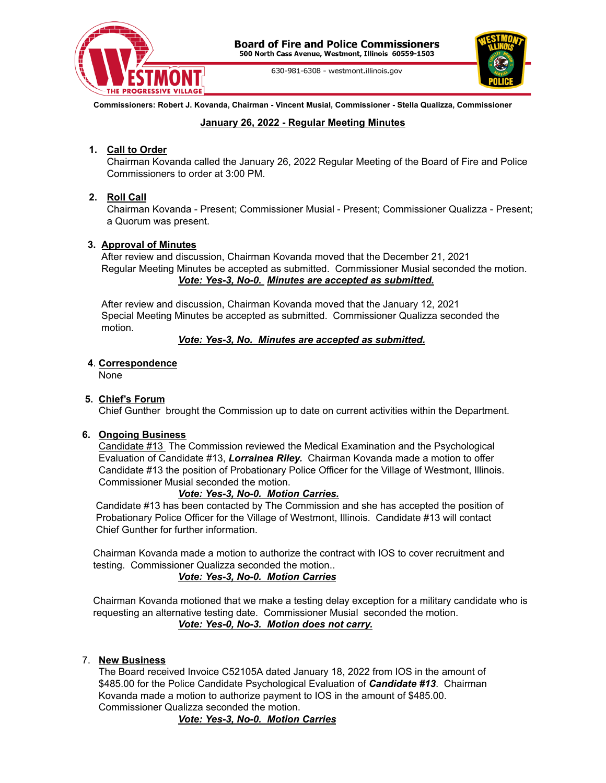

630-981-6308 - westmont.illinois.gov



**Commissioners: Robert J. Kovanda, Chairman - Vincent Musial, Commissioner - Stella Qualizza, Commissioner**

### **January 26, 2022 - Regular Meeting Minutes**

# **1. Call to Order**

Chairman Kovanda called the January 26, 2022 Regular Meeting of the Board of Fire and Police Commissioners to order at 3:00 PM.

# **2. Roll Call**

Chairman Kovanda - Present; Commissioner Musial - Present; Commissioner Qualizza - Present; a Quorum was present.

### **3. Approval of Minutes**

After review and discussion, Chairman Kovanda moved that the December 21, 2021 Regular Meeting Minutes be accepted as submitted. Commissioner Musial seconded the motion. *Vote: Yes-3, No-0. Minutes are accepted as submitted.*

After review and discussion, Chairman Kovanda moved that the January 12, 2021 Special Meeting Minutes be accepted as submitted. Commissioner Qualizza seconded the motion.

#### *Vote: Yes-3, No. Minutes are accepted as submitted.*

#### **4**. **Correspondence**

None

## **5. Chief's Forum**

Chief Gunther brought the Commission up to date on current activities within the Department.

#### **6. Ongoing Business**

Candidate #13 The Commission reviewed the Medical Examination and the Psychological Evaluation of Candidate #13, *Lorrainea Riley.* Chairman Kovanda made a motion to offer Candidate #13 the position of Probationary Police Officer for the Village of Westmont, Illinois. Commissioner Musial seconded the motion.

## *Vote: Yes-3, No-0. Motion Carries.*

Candidate #13 has been contacted by The Commission and she has accepted the position of Probationary Police Officer for the Village of Westmont, Illinois. Candidate #13 will contact Chief Gunther for further information.

Chairman Kovanda made a motion to authorize the contract with IOS to cover recruitment and testing. Commissioner Qualizza seconded the motion..

## *Vote: Yes-3, No-0. Motion Carries*

Chairman Kovanda motioned that we make a testing delay exception for a military candidate who is requesting an alternative testing date. Commissioner Musial seconded the motion. *Vote: Yes-0, No-3. Motion does not carry.*

#### 7. **New Business**

The Board received Invoice C52105A dated January 18, 2022 from IOS in the amount of \$485.00 for the Police Candidate Psychological Evaluation of *Candidate #13*. Chairman Kovanda made a motion to authorize payment to IOS in the amount of \$485.00. Commissioner Qualizza seconded the motion.

*Vote: Yes-3, No-0. Motion Carries*